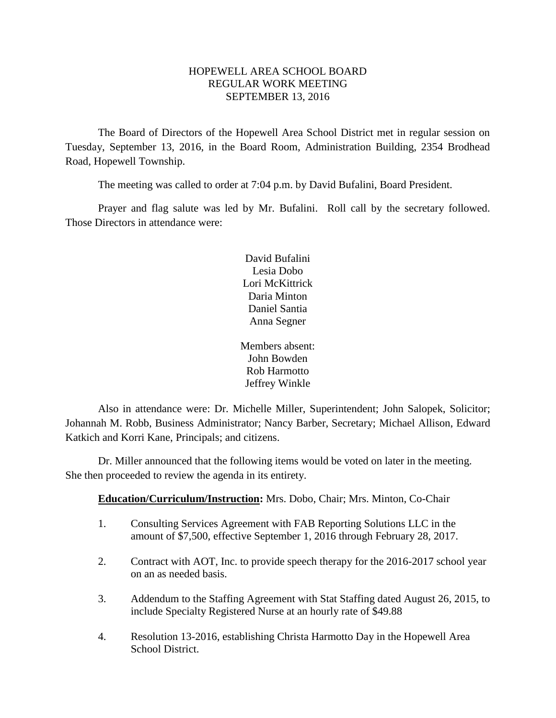# HOPEWELL AREA SCHOOL BOARD REGULAR WORK MEETING SEPTEMBER 13, 2016

The Board of Directors of the Hopewell Area School District met in regular session on Tuesday, September 13, 2016, in the Board Room, Administration Building, 2354 Brodhead Road, Hopewell Township.

The meeting was called to order at 7:04 p.m. by David Bufalini, Board President.

Prayer and flag salute was led by Mr. Bufalini. Roll call by the secretary followed. Those Directors in attendance were:

> David Bufalini Lesia Dobo Lori McKittrick Daria Minton Daniel Santia Anna Segner

Members absent: John Bowden Rob Harmotto Jeffrey Winkle

Also in attendance were: Dr. Michelle Miller, Superintendent; John Salopek, Solicitor; Johannah M. Robb, Business Administrator; Nancy Barber, Secretary; Michael Allison, Edward Katkich and Korri Kane, Principals; and citizens.

Dr. Miller announced that the following items would be voted on later in the meeting. She then proceeded to review the agenda in its entirety.

# **Education/Curriculum/Instruction:** Mrs. Dobo, Chair; Mrs. Minton, Co-Chair

- 1. Consulting Services Agreement with FAB Reporting Solutions LLC in the amount of \$7,500, effective September 1, 2016 through February 28, 2017.
- 2. Contract with AOT, Inc. to provide speech therapy for the 2016-2017 school year on an as needed basis.
- 3. Addendum to the Staffing Agreement with Stat Staffing dated August 26, 2015, to include Specialty Registered Nurse at an hourly rate of \$49.88
- 4. Resolution 13-2016, establishing Christa Harmotto Day in the Hopewell Area School District.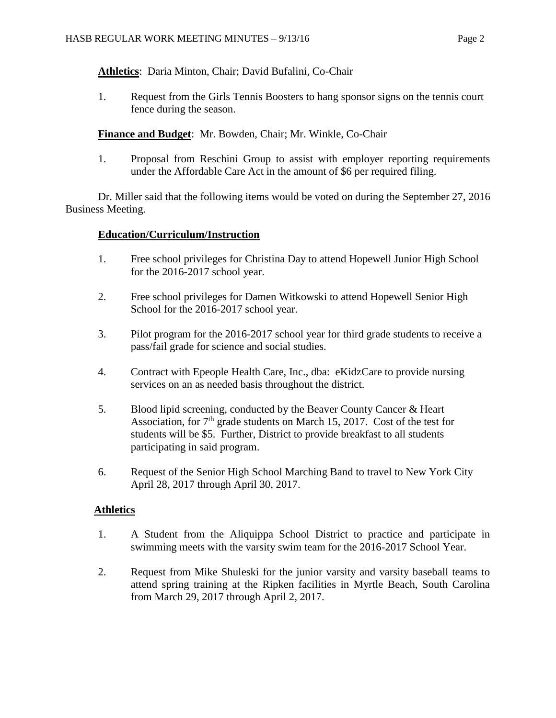**Athletics**: Daria Minton, Chair; David Bufalini, Co-Chair

1. Request from the Girls Tennis Boosters to hang sponsor signs on the tennis court fence during the season.

**Finance and Budget**: Mr. Bowden, Chair; Mr. Winkle, Co-Chair

1. Proposal from Reschini Group to assist with employer reporting requirements under the Affordable Care Act in the amount of \$6 per required filing.

Dr. Miller said that the following items would be voted on during the September 27, 2016 Business Meeting.

# **Education/Curriculum/Instruction**

- 1. Free school privileges for Christina Day to attend Hopewell Junior High School for the 2016-2017 school year.
- 2. Free school privileges for Damen Witkowski to attend Hopewell Senior High School for the 2016-2017 school year.
- 3. Pilot program for the 2016-2017 school year for third grade students to receive a pass/fail grade for science and social studies.
- 4. Contract with Epeople Health Care, Inc., dba: eKidzCare to provide nursing services on an as needed basis throughout the district.
- 5. Blood lipid screening, conducted by the Beaver County Cancer & Heart Association, for  $7<sup>th</sup>$  grade students on March 15, 2017. Cost of the test for students will be \$5. Further, District to provide breakfast to all students participating in said program.
- 6. Request of the Senior High School Marching Band to travel to New York City April 28, 2017 through April 30, 2017.

# **Athletics**

- 1. A Student from the Aliquippa School District to practice and participate in swimming meets with the varsity swim team for the 2016-2017 School Year.
- 2. Request from Mike Shuleski for the junior varsity and varsity baseball teams to attend spring training at the Ripken facilities in Myrtle Beach, South Carolina from March 29, 2017 through April 2, 2017.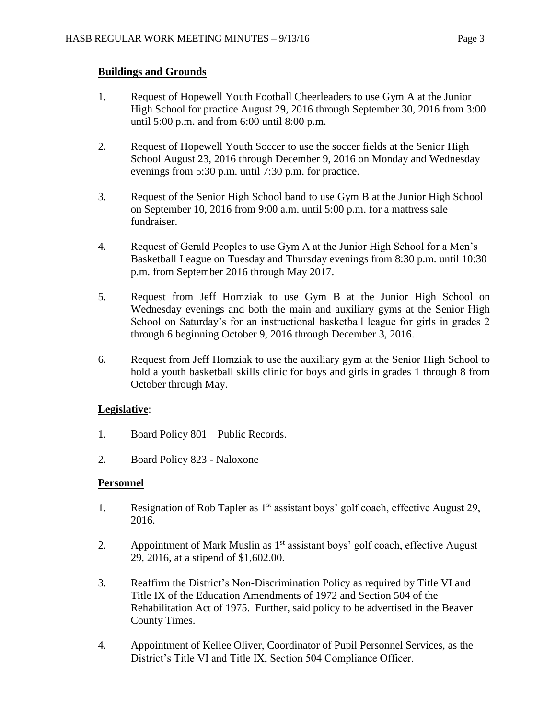# **Buildings and Grounds**

- 1. Request of Hopewell Youth Football Cheerleaders to use Gym A at the Junior High School for practice August 29, 2016 through September 30, 2016 from 3:00 until 5:00 p.m. and from 6:00 until 8:00 p.m.
- 2. Request of Hopewell Youth Soccer to use the soccer fields at the Senior High School August 23, 2016 through December 9, 2016 on Monday and Wednesday evenings from 5:30 p.m. until 7:30 p.m. for practice.
- 3. Request of the Senior High School band to use Gym B at the Junior High School on September 10, 2016 from 9:00 a.m. until 5:00 p.m. for a mattress sale fundraiser.
- 4. Request of Gerald Peoples to use Gym A at the Junior High School for a Men's Basketball League on Tuesday and Thursday evenings from 8:30 p.m. until 10:30 p.m. from September 2016 through May 2017.
- 5. Request from Jeff Homziak to use Gym B at the Junior High School on Wednesday evenings and both the main and auxiliary gyms at the Senior High School on Saturday's for an instructional basketball league for girls in grades 2 through 6 beginning October 9, 2016 through December 3, 2016.
- 6. Request from Jeff Homziak to use the auxiliary gym at the Senior High School to hold a youth basketball skills clinic for boys and girls in grades 1 through 8 from October through May.

# **Legislative**:

- 1. Board Policy 801 Public Records.
- 2. Board Policy 823 Naloxone

# **Personnel**

- 1. Resignation of Rob Tapler as 1<sup>st</sup> assistant boys' golf coach, effective August 29, 2016.
- 2. Appointment of Mark Muslin as  $1<sup>st</sup>$  assistant boys' golf coach, effective August 29, 2016, at a stipend of \$1,602.00.
- 3. Reaffirm the District's Non-Discrimination Policy as required by Title VI and Title IX of the Education Amendments of 1972 and Section 504 of the Rehabilitation Act of 1975. Further, said policy to be advertised in the Beaver County Times.
- 4. Appointment of Kellee Oliver, Coordinator of Pupil Personnel Services, as the District's Title VI and Title IX, Section 504 Compliance Officer.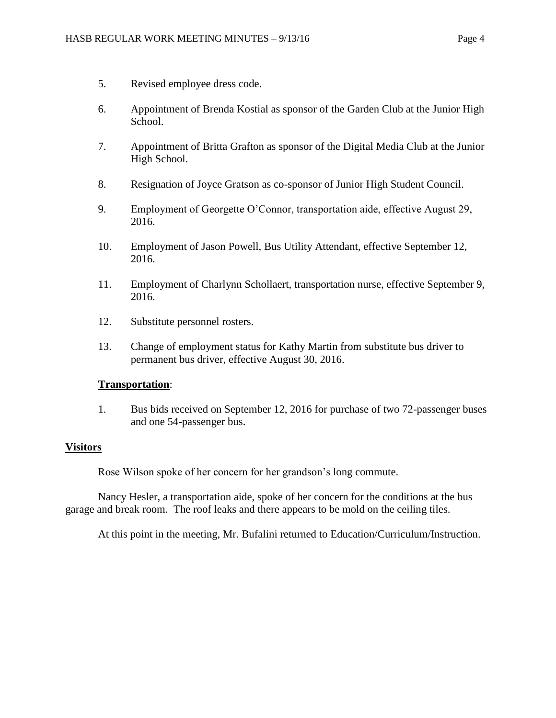- 5. Revised employee dress code.
- 6. Appointment of Brenda Kostial as sponsor of the Garden Club at the Junior High School.
- 7. Appointment of Britta Grafton as sponsor of the Digital Media Club at the Junior High School.
- 8. Resignation of Joyce Gratson as co-sponsor of Junior High Student Council.
- 9. Employment of Georgette O'Connor, transportation aide, effective August 29, 2016.
- 10. Employment of Jason Powell, Bus Utility Attendant, effective September 12, 2016.
- 11. Employment of Charlynn Schollaert, transportation nurse, effective September 9, 2016.
- 12. Substitute personnel rosters.
- 13. Change of employment status for Kathy Martin from substitute bus driver to permanent bus driver, effective August 30, 2016.

# **Transportation**:

1. Bus bids received on September 12, 2016 for purchase of two 72-passenger buses and one 54-passenger bus.

# **Visitors**

Rose Wilson spoke of her concern for her grandson's long commute.

Nancy Hesler, a transportation aide, spoke of her concern for the conditions at the bus garage and break room. The roof leaks and there appears to be mold on the ceiling tiles.

At this point in the meeting, Mr. Bufalini returned to Education/Curriculum/Instruction.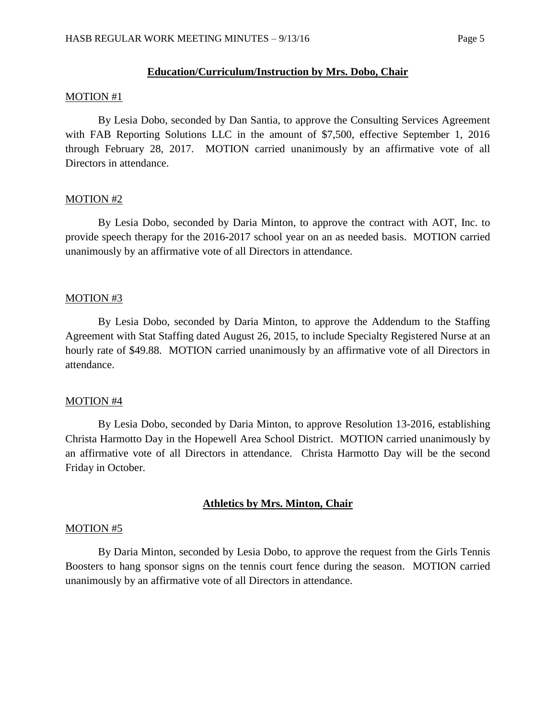### **Education/Curriculum/Instruction by Mrs. Dobo, Chair**

### MOTION #1

By Lesia Dobo, seconded by Dan Santia, to approve the Consulting Services Agreement with FAB Reporting Solutions LLC in the amount of \$7,500, effective September 1, 2016 through February 28, 2017. MOTION carried unanimously by an affirmative vote of all Directors in attendance.

### MOTION #2

By Lesia Dobo, seconded by Daria Minton, to approve the contract with AOT, Inc. to provide speech therapy for the 2016-2017 school year on an as needed basis. MOTION carried unanimously by an affirmative vote of all Directors in attendance.

### MOTION #3

By Lesia Dobo, seconded by Daria Minton, to approve the Addendum to the Staffing Agreement with Stat Staffing dated August 26, 2015, to include Specialty Registered Nurse at an hourly rate of \$49.88. MOTION carried unanimously by an affirmative vote of all Directors in attendance.

### MOTION #4

By Lesia Dobo, seconded by Daria Minton, to approve Resolution 13-2016, establishing Christa Harmotto Day in the Hopewell Area School District. MOTION carried unanimously by an affirmative vote of all Directors in attendance. Christa Harmotto Day will be the second Friday in October.

# **Athletics by Mrs. Minton, Chair**

#### MOTION #5

By Daria Minton, seconded by Lesia Dobo, to approve the request from the Girls Tennis Boosters to hang sponsor signs on the tennis court fence during the season. MOTION carried unanimously by an affirmative vote of all Directors in attendance.